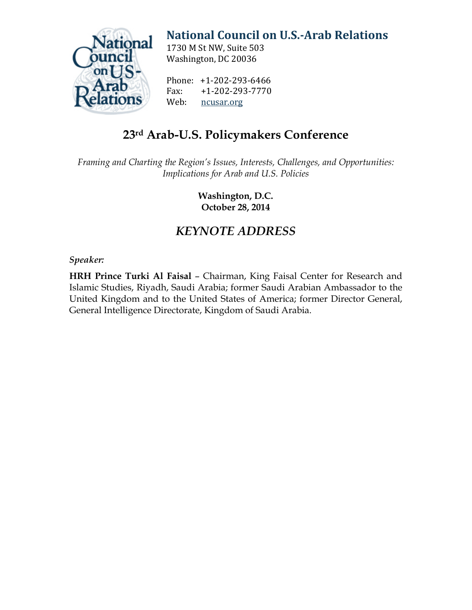

# **[National Council on U.S.-Arab Relations](http://ncusar.org/)**

1730 M St NW, Suite 503 Washington, DC 20036

Phone: +1-202-293-6466<br>Fax: +1-202-293-7770 Fax: +1-202-293-7770<br>Web: ncusar.org [ncusar.org](http://ncusar.org/)

## **23rd Arab-U.S. Policymakers Conference**

*Framing and Charting the Region's Issues, Interests, Challenges, and Opportunities: Implications for Arab and U.S. Policies*

> **Washington, D.C. October 28, 2014**

### *KEYNOTE ADDRESS*

#### *Speaker:*

**HRH Prince Turki Al Faisal** – Chairman, King Faisal Center for Research and Islamic Studies, Riyadh, Saudi Arabia; former Saudi Arabian Ambassador to the United Kingdom and to the United States of America; former Director General, General Intelligence Directorate, Kingdom of Saudi Arabia.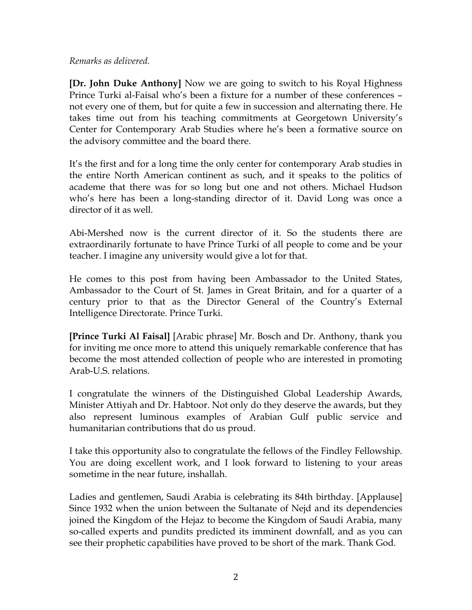#### *Remarks as delivered.*

**[Dr. John Duke Anthony]** Now we are going to switch to his Royal Highness Prince Turki al-Faisal who's been a fixture for a number of these conferences – not every one of them, but for quite a few in succession and alternating there. He takes time out from his teaching commitments at Georgetown University's Center for Contemporary Arab Studies where he's been a formative source on the advisory committee and the board there.

It's the first and for a long time the only center for contemporary Arab studies in the entire North American continent as such, and it speaks to the politics of academe that there was for so long but one and not others. Michael Hudson who's here has been a long-standing director of it. David Long was once a director of it as well.

Abi-Mershed now is the current director of it. So the students there are extraordinarily fortunate to have Prince Turki of all people to come and be your teacher. I imagine any university would give a lot for that.

He comes to this post from having been Ambassador to the United States, Ambassador to the Court of St. James in Great Britain, and for a quarter of a century prior to that as the Director General of the Country's External Intelligence Directorate. Prince Turki.

**[Prince Turki Al Faisal]** [Arabic phrase] Mr. Bosch and Dr. Anthony, thank you for inviting me once more to attend this uniquely remarkable conference that has become the most attended collection of people who are interested in promoting Arab-U.S. relations.

I congratulate the winners of the Distinguished Global Leadership Awards, Minister Attiyah and Dr. Habtoor. Not only do they deserve the awards, but they also represent luminous examples of Arabian Gulf public service and humanitarian contributions that do us proud.

I take this opportunity also to congratulate the fellows of the Findley Fellowship. You are doing excellent work, and I look forward to listening to your areas sometime in the near future, inshallah.

Ladies and gentlemen, Saudi Arabia is celebrating its 84th birthday. [Applause] Since 1932 when the union between the Sultanate of Nejd and its dependencies joined the Kingdom of the Hejaz to become the Kingdom of Saudi Arabia, many so-called experts and pundits predicted its imminent downfall, and as you can see their prophetic capabilities have proved to be short of the mark. Thank God.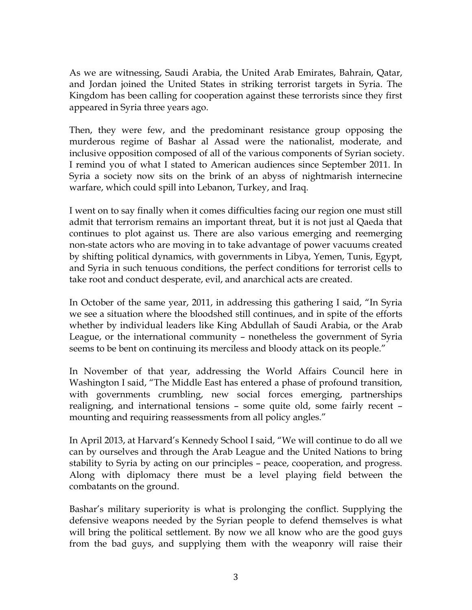As we are witnessing, Saudi Arabia, the United Arab Emirates, Bahrain, Qatar, and Jordan joined the United States in striking terrorist targets in Syria. The Kingdom has been calling for cooperation against these terrorists since they first appeared in Syria three years ago.

Then, they were few, and the predominant resistance group opposing the murderous regime of Bashar al Assad were the nationalist, moderate, and inclusive opposition composed of all of the various components of Syrian society. I remind you of what I stated to American audiences since September 2011. In Syria a society now sits on the brink of an abyss of nightmarish internecine warfare, which could spill into Lebanon, Turkey, and Iraq.

I went on to say finally when it comes difficulties facing our region one must still admit that terrorism remains an important threat, but it is not just al Qaeda that continues to plot against us. There are also various emerging and reemerging non-state actors who are moving in to take advantage of power vacuums created by shifting political dynamics, with governments in Libya, Yemen, Tunis, Egypt, and Syria in such tenuous conditions, the perfect conditions for terrorist cells to take root and conduct desperate, evil, and anarchical acts are created.

In October of the same year, 2011, in addressing this gathering I said, "In Syria we see a situation where the bloodshed still continues, and in spite of the efforts whether by individual leaders like King Abdullah of Saudi Arabia, or the Arab League, or the international community – nonetheless the government of Syria seems to be bent on continuing its merciless and bloody attack on its people."

In November of that year, addressing the World Affairs Council here in Washington I said, "The Middle East has entered a phase of profound transition, with governments crumbling, new social forces emerging, partnerships realigning, and international tensions – some quite old, some fairly recent – mounting and requiring reassessments from all policy angles."

In April 2013, at Harvard's Kennedy School I said, "We will continue to do all we can by ourselves and through the Arab League and the United Nations to bring stability to Syria by acting on our principles – peace, cooperation, and progress. Along with diplomacy there must be a level playing field between the combatants on the ground.

Bashar's military superiority is what is prolonging the conflict. Supplying the defensive weapons needed by the Syrian people to defend themselves is what will bring the political settlement. By now we all know who are the good guys from the bad guys, and supplying them with the weaponry will raise their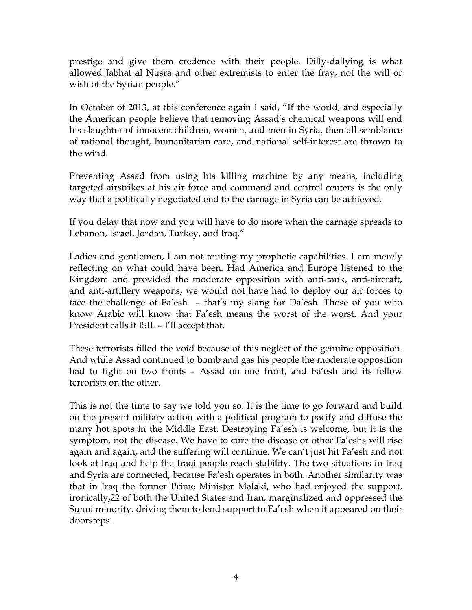prestige and give them credence with their people. Dilly-dallying is what allowed Jabhat al Nusra and other extremists to enter the fray, not the will or wish of the Syrian people."

In October of 2013, at this conference again I said, "If the world, and especially the American people believe that removing Assad's chemical weapons will end his slaughter of innocent children, women, and men in Syria, then all semblance of rational thought, humanitarian care, and national self-interest are thrown to the wind.

Preventing Assad from using his killing machine by any means, including targeted airstrikes at his air force and command and control centers is the only way that a politically negotiated end to the carnage in Syria can be achieved.

If you delay that now and you will have to do more when the carnage spreads to Lebanon, Israel, Jordan, Turkey, and Iraq."

Ladies and gentlemen, I am not touting my prophetic capabilities. I am merely reflecting on what could have been. Had America and Europe listened to the Kingdom and provided the moderate opposition with anti-tank, anti-aircraft, and anti-artillery weapons, we would not have had to deploy our air forces to face the challenge of Fa'esh – that's my slang for Da'esh. Those of you who know Arabic will know that Fa'esh means the worst of the worst. And your President calls it ISIL – I'll accept that.

These terrorists filled the void because of this neglect of the genuine opposition. And while Assad continued to bomb and gas his people the moderate opposition had to fight on two fronts – Assad on one front, and Fa'esh and its fellow terrorists on the other.

This is not the time to say we told you so. It is the time to go forward and build on the present military action with a political program to pacify and diffuse the many hot spots in the Middle East. Destroying Fa'esh is welcome, but it is the symptom, not the disease. We have to cure the disease or other Fa'eshs will rise again and again, and the suffering will continue. We can't just hit Fa'esh and not look at Iraq and help the Iraqi people reach stability. The two situations in Iraq and Syria are connected, because Fa'esh operates in both. Another similarity was that in Iraq the former Prime Minister Malaki, who had enjoyed the support, ironically,22 of both the United States and Iran, marginalized and oppressed the Sunni minority, driving them to lend support to Fa'esh when it appeared on their doorsteps.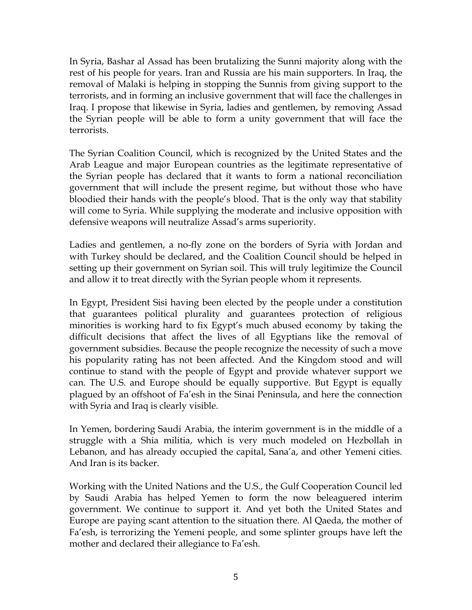In Syria, Bashar al Assad has been brutalizing the Sunni majority along with the rest of his people for years. Iran and Russia are his main supporters. In Iraq, the removal of Malaki is helping in stopping the Sunnis from giving support to the terrorists, and in forming an inclusive government that will face the challenges in Iraq. I propose that likewise in Syria, ladies and gentlemen, by removing Assad the Syrian people will be able to form a unity government that will face the terrorists.

The Syrian Coalition Council, which is recognized by the United States and the Arab League and major European countries as the legitimate representative of the Syrian people has declared that it wants to form a national reconciliation government that will include the present regime, but without those who have bloodied their hands with the people's blood. That is the only way that stability will come to Syria. While supplying the moderate and inclusive opposition with defensive weapons will neutralize Assad's arms superiority.

Ladies and gentlemen, a no-fly zone on the borders of Syria with Jordan and with Turkey should be declared, and the Coalition Council should be helped in setting up their government on Syrian soil. This will truly legitimize the Council and allow it to treat directly with the Syrian people whom it represents.

In Egypt, President Sisi having been elected by the people under a constitution that guarantees political plurality and guarantees protection of religious minorities is working hard to fix Egypt's much abused economy by taking the difficult decisions that affect the lives of all Egyptians like the removal of government subsidies. Because the people recognize the necessity of such a move his popularity rating has not been affected. And the Kingdom stood and will continue to stand with the people of Egypt and provide whatever support we can. The U.S. and Europe should be equally supportive. But Egypt is equally plagued by an offshoot of Fa'esh in the Sinai Peninsula, and here the connection with Syria and Iraq is clearly visible.

In Yemen, bordering Saudi Arabia, the interim government is in the middle of a struggle with a Shia militia, which is very much modeled on Hezbollah in Lebanon, and has already occupied the capital, Sana'a, and other Yemeni cities. And Iran is its backer.

Working with the United Nations and the U.S., the Gulf Cooperation Council led by Saudi Arabia has helped Yemen to form the now beleaguered interim government. We continue to support it. And yet both the United States and Europe are paying scant attention to the situation there. Al Qaeda, the mother of Fa'esh, is terrorizing the Yemeni people, and some splinter groups have left the mother and declared their allegiance to Fa'esh.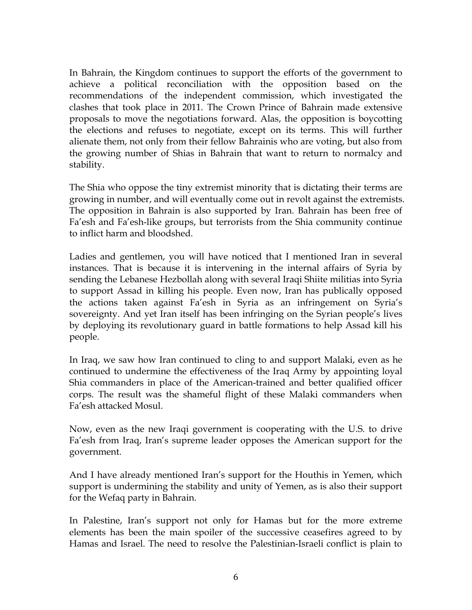In Bahrain, the Kingdom continues to support the efforts of the government to achieve a political reconciliation with the opposition based on the recommendations of the independent commission, which investigated the clashes that took place in 2011. The Crown Prince of Bahrain made extensive proposals to move the negotiations forward. Alas, the opposition is boycotting the elections and refuses to negotiate, except on its terms. This will further alienate them, not only from their fellow Bahrainis who are voting, but also from the growing number of Shias in Bahrain that want to return to normalcy and stability.

The Shia who oppose the tiny extremist minority that is dictating their terms are growing in number, and will eventually come out in revolt against the extremists. The opposition in Bahrain is also supported by Iran. Bahrain has been free of Fa'esh and Fa'esh-like groups, but terrorists from the Shia community continue to inflict harm and bloodshed.

Ladies and gentlemen, you will have noticed that I mentioned Iran in several instances. That is because it is intervening in the internal affairs of Syria by sending the Lebanese Hezbollah along with several Iraqi Shiite militias into Syria to support Assad in killing his people. Even now, Iran has publically opposed the actions taken against Fa'esh in Syria as an infringement on Syria's sovereignty. And yet Iran itself has been infringing on the Syrian people's lives by deploying its revolutionary guard in battle formations to help Assad kill his people.

In Iraq, we saw how Iran continued to cling to and support Malaki, even as he continued to undermine the effectiveness of the Iraq Army by appointing loyal Shia commanders in place of the American-trained and better qualified officer corps. The result was the shameful flight of these Malaki commanders when Fa'esh attacked Mosul.

Now, even as the new Iraqi government is cooperating with the U.S. to drive Fa'esh from Iraq, Iran's supreme leader opposes the American support for the government.

And I have already mentioned Iran's support for the Houthis in Yemen, which support is undermining the stability and unity of Yemen, as is also their support for the Wefaq party in Bahrain.

In Palestine, Iran's support not only for Hamas but for the more extreme elements has been the main spoiler of the successive ceasefires agreed to by Hamas and Israel. The need to resolve the Palestinian-Israeli conflict is plain to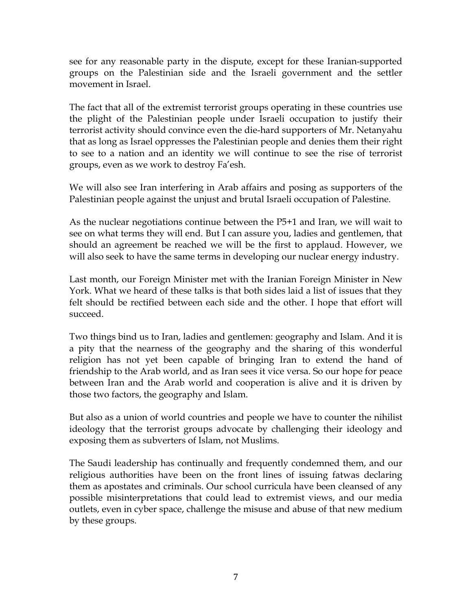see for any reasonable party in the dispute, except for these Iranian-supported groups on the Palestinian side and the Israeli government and the settler movement in Israel.

The fact that all of the extremist terrorist groups operating in these countries use the plight of the Palestinian people under Israeli occupation to justify their terrorist activity should convince even the die-hard supporters of Mr. Netanyahu that as long as Israel oppresses the Palestinian people and denies them their right to see to a nation and an identity we will continue to see the rise of terrorist groups, even as we work to destroy Fa'esh.

We will also see Iran interfering in Arab affairs and posing as supporters of the Palestinian people against the unjust and brutal Israeli occupation of Palestine.

As the nuclear negotiations continue between the P5+1 and Iran, we will wait to see on what terms they will end. But I can assure you, ladies and gentlemen, that should an agreement be reached we will be the first to applaud. However, we will also seek to have the same terms in developing our nuclear energy industry.

Last month, our Foreign Minister met with the Iranian Foreign Minister in New York. What we heard of these talks is that both sides laid a list of issues that they felt should be rectified between each side and the other. I hope that effort will succeed.

Two things bind us to Iran, ladies and gentlemen: geography and Islam. And it is a pity that the nearness of the geography and the sharing of this wonderful religion has not yet been capable of bringing Iran to extend the hand of friendship to the Arab world, and as Iran sees it vice versa. So our hope for peace between Iran and the Arab world and cooperation is alive and it is driven by those two factors, the geography and Islam.

But also as a union of world countries and people we have to counter the nihilist ideology that the terrorist groups advocate by challenging their ideology and exposing them as subverters of Islam, not Muslims.

The Saudi leadership has continually and frequently condemned them, and our religious authorities have been on the front lines of issuing fatwas declaring them as apostates and criminals. Our school curricula have been cleansed of any possible misinterpretations that could lead to extremist views, and our media outlets, even in cyber space, challenge the misuse and abuse of that new medium by these groups.